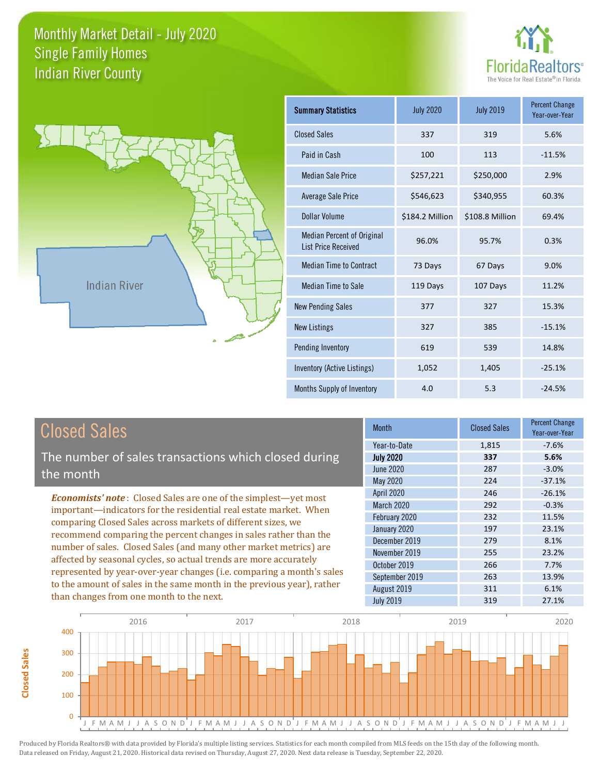



**Closed Sales**

**Closed Sales** 

| <b>Summary Statistics</b>                                       | <b>July 2020</b> | <b>July 2019</b> | <b>Percent Change</b><br>Year-over-Year |
|-----------------------------------------------------------------|------------------|------------------|-----------------------------------------|
| <b>Closed Sales</b>                                             | 337              | 319              | 5.6%                                    |
| Paid in Cash                                                    | 100              | 113              | $-11.5%$                                |
| <b>Median Sale Price</b>                                        | \$257,221        | \$250,000        | 2.9%                                    |
| <b>Average Sale Price</b>                                       | \$546,623        | \$340,955        | 60.3%                                   |
| Dollar Volume                                                   | \$184.2 Million  | \$108.8 Million  | 69.4%                                   |
| <b>Median Percent of Original</b><br><b>List Price Received</b> | 96.0%            | 95.7%            | 0.3%                                    |
| <b>Median Time to Contract</b>                                  | 73 Days          | 67 Days          | 9.0%                                    |
| <b>Median Time to Sale</b>                                      | 119 Days         | 107 Days         | 11.2%                                   |
| <b>New Pending Sales</b>                                        | 377              | 327              | 15.3%                                   |
| <b>New Listings</b>                                             | 327              | 385              | $-15.1%$                                |
| Pending Inventory                                               | 619              | 539              | 14.8%                                   |
| Inventory (Active Listings)                                     | 1,052            | 1,405            | $-25.1%$                                |
| Months Supply of Inventory                                      | 4.0              | 5.3              | $-24.5%$                                |

| <b>Closed Sales</b>                                                                                                                        | <b>Month</b>      | <b>Closed Sales</b> | <b>Percent Change</b><br>Year-over-Year |
|--------------------------------------------------------------------------------------------------------------------------------------------|-------------------|---------------------|-----------------------------------------|
| The number of sales transactions which closed during                                                                                       | Year-to-Date      | 1,815               | $-7.6%$                                 |
|                                                                                                                                            | <b>July 2020</b>  | 337                 | 5.6%                                    |
| the month                                                                                                                                  | June 2020         | 287                 | $-3.0%$                                 |
|                                                                                                                                            | May 2020          | 224                 | $-37.1%$                                |
| <b>Economists' note:</b> Closed Sales are one of the simplest—yet most                                                                     | <b>April 2020</b> | 246                 | $-26.1%$                                |
| important—indicators for the residential real estate market. When                                                                          | <b>March 2020</b> | 292                 | $-0.3%$                                 |
|                                                                                                                                            | February 2020     | 232                 | 11.5%                                   |
| comparing Closed Sales across markets of different sizes, we<br>recommend comparing the percent changes in sales rather than the           | January 2020      | 197                 | 23.1%                                   |
| number of sales. Closed Sales (and many other market metrics) are                                                                          | December 2019     | 279                 | 8.1%                                    |
|                                                                                                                                            | November 2019     | 255                 | 23.2%                                   |
| affected by seasonal cycles, so actual trends are more accurately<br>represented by year-over-year changes (i.e. comparing a month's sales | October 2019      | 266                 | 7.7%                                    |
| to the amount of sales in the same month in the previous year), rather                                                                     | September 2019    | 263                 | 13.9%                                   |
|                                                                                                                                            | August 2019       | 311                 | 6.1%                                    |
| than changes from one month to the next.                                                                                                   | <b>July 2019</b>  | 319                 | 27.1%                                   |

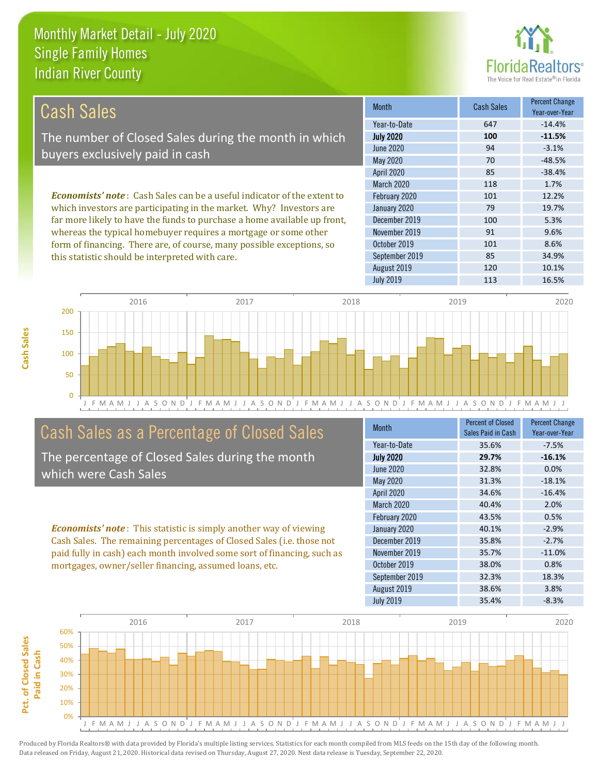this statistic should be interpreted with care.



85 34.9%

| Cash Sales                                                                      | <b>Month</b>      | <b>Cash Sales</b> | <b>Percent Change</b><br>Year-over-Year |
|---------------------------------------------------------------------------------|-------------------|-------------------|-----------------------------------------|
|                                                                                 | Year-to-Date      | 647               | $-14.4%$                                |
| The number of Closed Sales during the month in which                            | <b>July 2020</b>  | 100               | $-11.5%$                                |
| buyers exclusively paid in cash                                                 | <b>June 2020</b>  | 94                | $-3.1%$                                 |
|                                                                                 | May 2020          | 70                | $-48.5%$                                |
|                                                                                 | <b>April 2020</b> | 85                | $-38.4%$                                |
|                                                                                 | <b>March 2020</b> | 118               | 1.7%                                    |
| <b>Economists' note</b> : Cash Sales can be a useful indicator of the extent to | February 2020     | 101               | 12.2%                                   |
| which investors are participating in the market. Why? Investors are             | January 2020      | 79                | 19.7%                                   |
| far more likely to have the funds to purchase a home available up front,        | December 2019     | 100               | 5.3%                                    |
| whereas the typical homebuyer requires a mortgage or some other                 | November 2019     | 91                | 9.6%                                    |
| form of financing. There are, of course, many possible exceptions, so           | October 2019      | 101               | 8.6%                                    |

September 2019



## Cash Sales as a Percentage of Closed Sales

The percentage of Closed Sales during the month which were Cash Sales

*Economists' note* : This statistic is simply another way of viewing Cash Sales. The remaining percentages of Closed Sales (i.e. those not paid fully in cash) each month involved some sort of financing, such as mortgages, owner/seller financing, assumed loans, etc.

| <b>Month</b>     | <b>Percent of Closed</b><br>Sales Paid in Cash | <b>Percent Change</b><br>Year-over-Year |
|------------------|------------------------------------------------|-----------------------------------------|
| Year-to-Date     | 35.6%                                          | $-7.5%$                                 |
| <b>July 2020</b> | 29.7%                                          | $-16.1%$                                |
| <b>June 2020</b> | 32.8%                                          | 0.0%                                    |
| <b>May 2020</b>  | 31.3%                                          | $-18.1%$                                |
| April 2020       | 34.6%                                          | $-16.4%$                                |
| March 2020       | 40.4%                                          | 2.0%                                    |
| February 2020    | 43.5%                                          | 0.5%                                    |
| January 2020     | 40.1%                                          | $-2.9%$                                 |
| December 2019    | 35.8%                                          | $-2.7%$                                 |
| November 2019    | 35.7%                                          | $-11.0%$                                |
| October 2019     | 38.0%                                          | 0.8%                                    |
| September 2019   | 32.3%                                          | 18.3%                                   |
| August 2019      | 38.6%                                          | 3.8%                                    |
| <b>July 2019</b> | 35.4%                                          | $-8.3%$                                 |

August 2019 120 120 10.1%

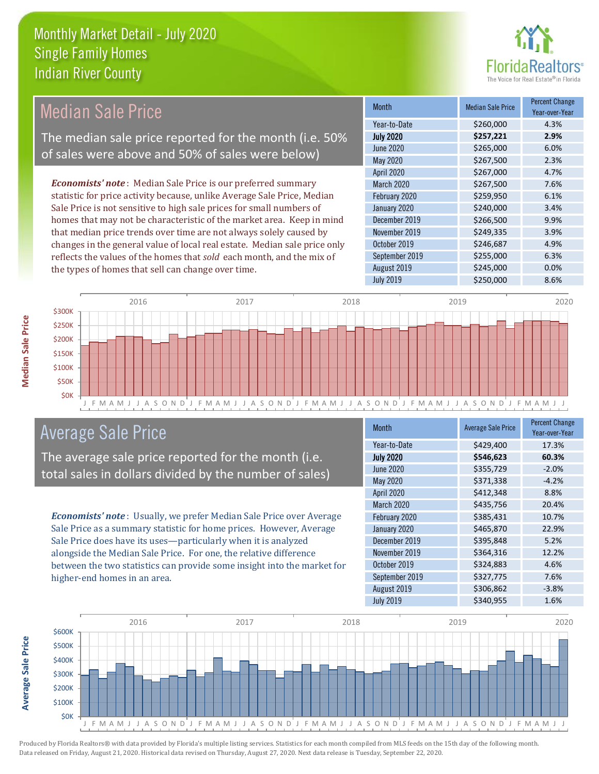

#### *Economists' note* : Median Sale Price is our preferred summary statistic for price activity because, unlike Average Sale Price, Median Sale Price is not sensitive to high sale prices for small numbers of homes that may not be characteristic of the market area. Keep in mind that median price trends over time are not always solely caused by changes in the general value of local real estate. Median sale price only Median Sale Price The median sale price reported for the month (i.e. 50% of sales were above and 50% of sales were below)

reflects the values of the homes that *sold* each month, and the mix of the types of homes that sell can change over time.

| <b>Month</b>     | <b>Median Sale Price</b> | <b>Percent Change</b><br>Year-over-Year |
|------------------|--------------------------|-----------------------------------------|
| Year-to-Date     | \$260,000                | 4.3%                                    |
| <b>July 2020</b> | \$257,221                | 2.9%                                    |
| <b>June 2020</b> | \$265,000                | 6.0%                                    |
| <b>May 2020</b>  | \$267,500                | 2.3%                                    |
| April 2020       | \$267,000                | 4.7%                                    |
| March 2020       | \$267,500                | 7.6%                                    |
| February 2020    | \$259,950                | 6.1%                                    |
| January 2020     | \$240,000                | 3.4%                                    |
| December 2019    | \$266,500                | 9.9%                                    |
| November 2019    | \$249,335                | 3.9%                                    |
| October 2019     | \$246,687                | 4.9%                                    |
| September 2019   | \$255,000                | 6.3%                                    |
| August 2019      | \$245,000                | 0.0%                                    |
| <b>July 2019</b> | \$250,000                | 8.6%                                    |



## Average Sale Price

The average sale price reported for the month (i.e. total sales in dollars divided by the number of sales)

*Economists' note* : Usually, we prefer Median Sale Price over Average Sale Price as a summary statistic for home prices. However, Average Sale Price does have its uses—particularly when it is analyzed alongside the Median Sale Price. For one, the relative difference between the two statistics can provide some insight into the market for higher-end homes in an area.

| <b>Month</b>     | <b>Average Sale Price</b> | <b>Percent Change</b><br>Year-over-Year |
|------------------|---------------------------|-----------------------------------------|
| Year-to-Date     | \$429,400                 | 17.3%                                   |
| <b>July 2020</b> | \$546,623                 | 60.3%                                   |
| <b>June 2020</b> | \$355,729                 | $-2.0%$                                 |
| <b>May 2020</b>  | \$371,338                 | $-4.2%$                                 |
| April 2020       | \$412,348                 | 8.8%                                    |
| March 2020       | \$435,756                 | 20.4%                                   |
| February 2020    | \$385,431                 | 10.7%                                   |
| January 2020     | \$465,870                 | 22.9%                                   |
| December 2019    | \$395,848                 | 5.2%                                    |
| November 2019    | \$364,316                 | 12.2%                                   |
| October 2019     | \$324,883                 | 4.6%                                    |
| September 2019   | \$327,775                 | 7.6%                                    |
| August 2019      | \$306,862                 | $-3.8%$                                 |
| <b>July 2019</b> | \$340,955                 | 1.6%                                    |

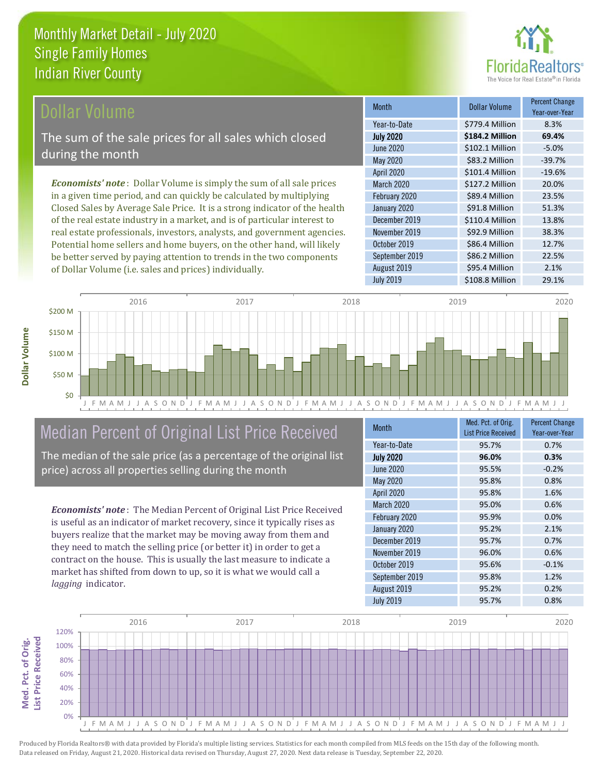

## **Ollar Volume**

The sum of the sale prices for all sales which closed during the month

*Economists' note* : Dollar Volume is simply the sum of all sale prices in a given time period, and can quickly be calculated by multiplying Closed Sales by Average Sale Price. It is a strong indicator of the health of the real estate industry in a market, and is of particular interest to real estate professionals, investors, analysts, and government agencies. Potential home sellers and home buyers, on the other hand, will likely be better served by paying attention to trends in the two components of Dollar Volume (i.e. sales and prices) individually.

| <b>Month</b>      | Dollar Volume   | <b>Percent Change</b><br>Year-over-Year |
|-------------------|-----------------|-----------------------------------------|
| Year-to-Date      | \$779.4 Million | 8.3%                                    |
| <b>July 2020</b>  | \$184.2 Million | 69.4%                                   |
| <b>June 2020</b>  | \$102.1 Million | $-5.0%$                                 |
| May 2020          | \$83.2 Million  | $-39.7%$                                |
| <b>April 2020</b> | \$101.4 Million | $-19.6%$                                |
| <b>March 2020</b> | \$127.2 Million | 20.0%                                   |
| February 2020     | \$89.4 Million  | 23.5%                                   |
| January 2020      | \$91.8 Million  | 51.3%                                   |
| December 2019     | \$110.4 Million | 13.8%                                   |
| November 2019     | \$92.9 Million  | 38.3%                                   |
| October 2019      | \$86.4 Million  | 12.7%                                   |
| September 2019    | \$86.2 Million  | 22.5%                                   |
| August 2019       | \$95.4 Million  | 2.1%                                    |
| <b>July 2019</b>  | \$108.8 Million | 29.1%                                   |



# Median Percent of Original List Price Received

The median of the sale price (as a percentage of the original list price) across all properties selling during the month

*Economists' note* : The Median Percent of Original List Price Received is useful as an indicator of market recovery, since it typically rises as buyers realize that the market may be moving away from them and they need to match the selling price (or better it) in order to get a contract on the house. This is usually the last measure to indicate a market has shifted from down to up, so it is what we would call a *lagging* indicator.

| <b>Month</b>      | Med. Pct. of Orig.<br><b>List Price Received</b> | <b>Percent Change</b><br>Year-over-Year |
|-------------------|--------------------------------------------------|-----------------------------------------|
| Year-to-Date      | 95.7%                                            | 0.7%                                    |
| <b>July 2020</b>  | 96.0%                                            | 0.3%                                    |
| <b>June 2020</b>  | 95.5%                                            | $-0.2%$                                 |
| <b>May 2020</b>   | 95.8%                                            | 0.8%                                    |
| April 2020        | 95.8%                                            | 1.6%                                    |
| <b>March 2020</b> | 95.0%                                            | 0.6%                                    |
| February 2020     | 95.9%                                            | 0.0%                                    |
| January 2020      | 95.2%                                            | 2.1%                                    |
| December 2019     | 95.7%                                            | 0.7%                                    |
| November 2019     | 96.0%                                            | 0.6%                                    |
| October 2019      | 95.6%                                            | $-0.1%$                                 |
| September 2019    | 95.8%                                            | 1.2%                                    |
| August 2019       | 95.2%                                            | 0.2%                                    |
| <b>July 2019</b>  | 95.7%                                            | 0.8%                                    |

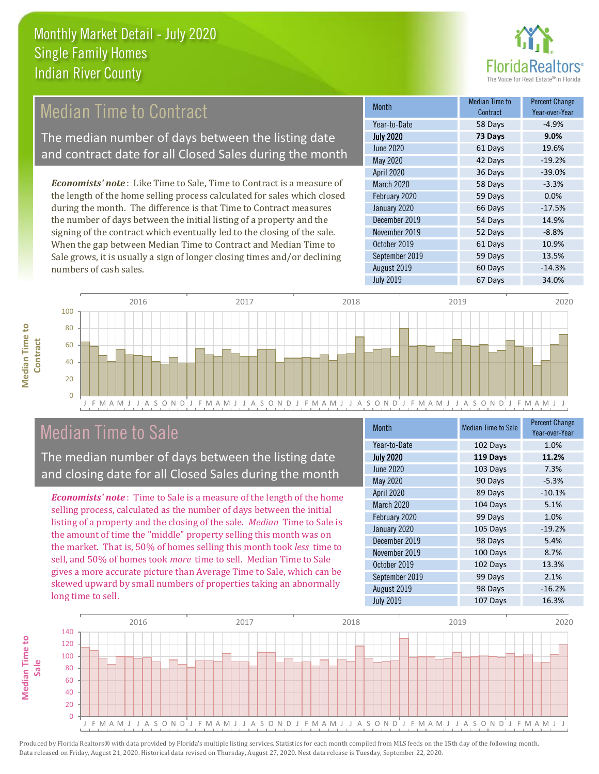

## **Median Time to Contract**

The median number of days between the listing date and contract date for all Closed Sales during the month

*Economists' note* : Like Time to Sale, Time to Contract is a measure of the length of the home selling process calculated for sales which closed during the month. The difference is that Time to Contract measures the number of days between the initial listing of a property and the signing of the contract which eventually led to the closing of the sale. When the gap between Median Time to Contract and Median Time to Sale grows, it is usually a sign of longer closing times and/or declining numbers of cash sales.

| Month             | Median Time to<br>Contract | <b>Percent Change</b><br>Year-over-Year |
|-------------------|----------------------------|-----------------------------------------|
| Year-to-Date      | 58 Days                    | $-4.9%$                                 |
| <b>July 2020</b>  | 73 Days                    | 9.0%                                    |
| <b>June 2020</b>  | 61 Days                    | 19.6%                                   |
| <b>May 2020</b>   | 42 Days                    | $-19.2%$                                |
| <b>April 2020</b> | 36 Days                    | $-39.0%$                                |
| March 2020        | 58 Days                    | $-3.3%$                                 |
| February 2020     | 59 Days                    | 0.0%                                    |
| January 2020      | 66 Days                    | $-17.5%$                                |
| December 2019     | 54 Days                    | 14.9%                                   |
| November 2019     | 52 Days                    | $-8.8%$                                 |
| October 2019      | 61 Days                    | 10.9%                                   |
| September 2019    | 59 Days                    | 13.5%                                   |
| August 2019       | 60 Days                    | $-14.3%$                                |
| <b>July 2019</b>  | 67 Days                    | 34.0%                                   |



## Median Time to Sale

**Median Time to Contract**

**Median Time to** 

The median number of days between the listing date and closing date for all Closed Sales during the month

*Economists' note* : Time to Sale is a measure of the length of the home selling process, calculated as the number of days between the initial listing of a property and the closing of the sale. *Median* Time to Sale is the amount of time the "middle" property selling this month was on the market. That is, 50% of homes selling this month took *less* time to sell, and 50% of homes took *more* time to sell. Median Time to Sale gives a more accurate picture than Average Time to Sale, which can be skewed upward by small numbers of properties taking an abnormally long time to sell.

| <b>Month</b>     | <b>Median Time to Sale</b> | <b>Percent Change</b><br>Year-over-Year |
|------------------|----------------------------|-----------------------------------------|
| Year-to-Date     | 102 Days                   | 1.0%                                    |
| <b>July 2020</b> | 119 Days                   | 11.2%                                   |
| <b>June 2020</b> | 103 Days                   | 7.3%                                    |
| <b>May 2020</b>  | 90 Days                    | $-5.3%$                                 |
| April 2020       | 89 Days                    | $-10.1%$                                |
| March 2020       | 104 Days                   | 5.1%                                    |
| February 2020    | 99 Days                    | 1.0%                                    |
| January 2020     | 105 Days                   | $-19.2%$                                |
| December 2019    | 98 Days                    | 5.4%                                    |
| November 2019    | 100 Days                   | 8.7%                                    |
| October 2019     | 102 Days                   | 13.3%                                   |
| September 2019   | 99 Days                    | 2.1%                                    |
| August 2019      | 98 Days                    | $-16.2%$                                |
| <b>July 2019</b> | 107 Days                   | 16.3%                                   |

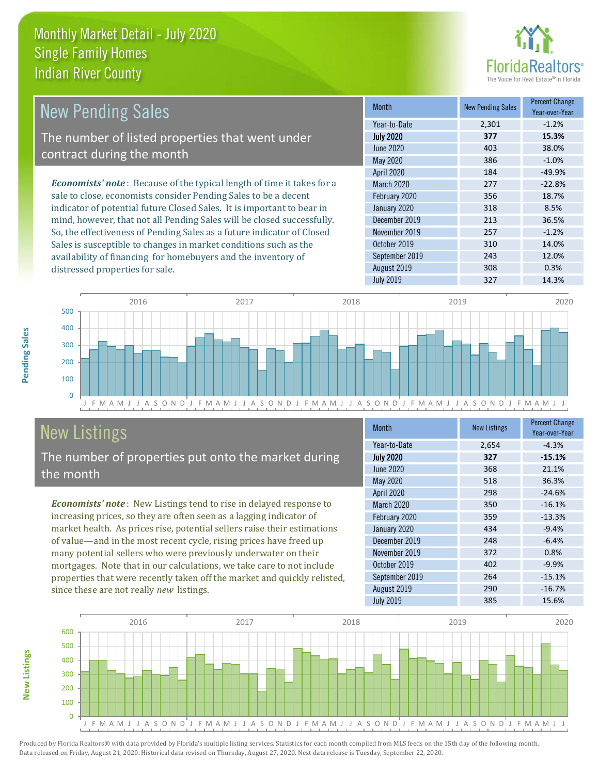distressed properties for sale.



| <b>New Pending Sales</b>                                                       | <b>Month</b>      | <b>New Pending Sales</b> | <b>Percent Change</b><br>Year-over-Year |
|--------------------------------------------------------------------------------|-------------------|--------------------------|-----------------------------------------|
|                                                                                | Year-to-Date      | 2,301                    | $-1.2%$                                 |
| The number of listed properties that went under                                | <b>July 2020</b>  | 377                      | 15.3%                                   |
| contract during the month                                                      | June 2020         | 403                      | 38.0%                                   |
|                                                                                | May 2020          | 386                      | $-1.0\%$                                |
|                                                                                | <b>April 2020</b> | 184                      | $-49.9%$                                |
| <b>Economists' note</b> : Because of the typical length of time it takes for a | <b>March 2020</b> | 277                      | $-22.8%$                                |
| sale to close, economists consider Pending Sales to be a decent                | February 2020     | 356                      | 18.7%                                   |
| indicator of potential future Closed Sales. It is important to bear in         | January 2020      | 318                      | 8.5%                                    |
| mind, however, that not all Pending Sales will be closed successfully.         | December 2019     | 213                      | 36.5%                                   |
| So, the effectiveness of Pending Sales as a future indicator of Closed         | November 2019     | 257                      | $-1.2%$                                 |
| Sales is susceptible to changes in market conditions such as the               | October 2019      | 310                      | 14.0%                                   |

J F M A M J J A S O N D J F M A M J J A S O N D J F M A M J J A S O N D J F M A M J J A S O N D J F M A M J J  $\overline{0}$ 100 200 300 400 500 2016 2017 2018 2019 2020

# New Listings

The number of properties put onto the market during the month

availability of financing for homebuyers and the inventory of

*Economists' note* : New Listings tend to rise in delayed response to increasing prices, so they are often seen as a lagging indicator of market health. As prices rise, potential sellers raise their estimations of value—and in the most recent cycle, rising prices have freed up many potential sellers who were previously underwater on their mortgages. Note that in our calculations, we take care to not include properties that were recently taken off the market and quickly relisted, since these are not really *new* listings.

| <b>Month</b>      | <b>New Listings</b> | <b>Percent Change</b><br>Year-over-Year |
|-------------------|---------------------|-----------------------------------------|
| Year-to-Date      | 2,654               | $-4.3%$                                 |
| <b>July 2020</b>  | 327                 | $-15.1%$                                |
| <b>June 2020</b>  | 368                 | 21.1%                                   |
| May 2020          | 518                 | 36.3%                                   |
| April 2020        | 298                 | $-24.6%$                                |
| <b>March 2020</b> | 350                 | $-16.1%$                                |
| February 2020     | 359                 | $-13.3%$                                |
| January 2020      | 434                 | $-9.4%$                                 |
| December 2019     | 248                 | $-6.4%$                                 |
| November 2019     | 372                 | 0.8%                                    |
| October 2019      | 402                 | $-9.9%$                                 |
| September 2019    | 264                 | $-15.1%$                                |
| August 2019       | 290                 | $-16.7%$                                |
| <b>July 2019</b>  | 385                 | 15.6%                                   |

September 2019 12.0% August 2019 **308** 0.3% July 2019 327 14.3%



Produced by Florida Realtors® with data provided by Florida's multiple listing services. Statistics for each month compiled from MLS feeds on the 15th day of the following month. Data released on Friday, August 21, 2020. Historical data revised on Thursday, August 27, 2020. Next data release is Tuesday, September 22, 2020.

**New Listings**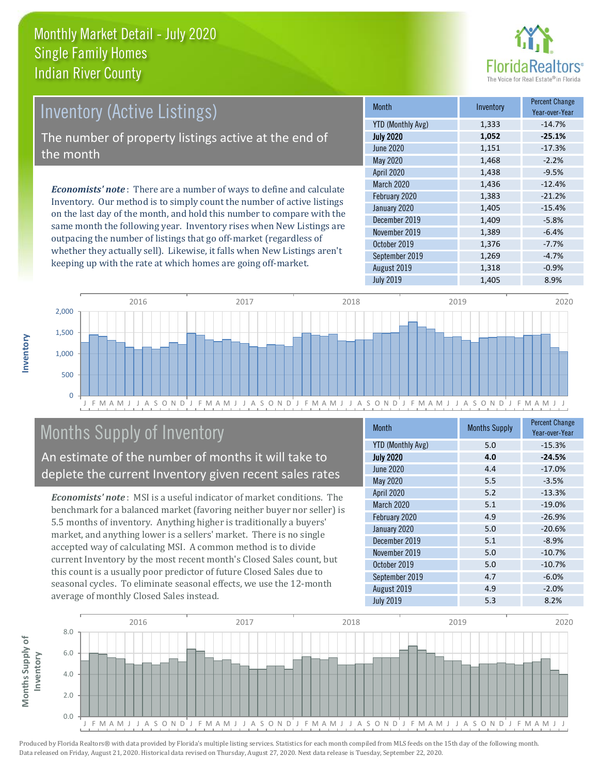

## Inventory (Active Listings)

The number of property listings active at the end of the month

*Economists' note* : There are a number of ways to define and calculate Inventory. Our method is to simply count the number of active listings on the last day of the month, and hold this number to compare with the same month the following year. Inventory rises when New Listings are outpacing the number of listings that go off-market (regardless of whether they actually sell). Likewise, it falls when New Listings aren't keeping up with the rate at which homes are going off-market.

| <b>Month</b>             | Inventory | <b>Percent Change</b><br>Year-over-Year |
|--------------------------|-----------|-----------------------------------------|
| <b>YTD (Monthly Avg)</b> | 1,333     | $-14.7%$                                |
| <b>July 2020</b>         | 1,052     | $-25.1%$                                |
| <b>June 2020</b>         | 1,151     | $-17.3%$                                |
| <b>May 2020</b>          | 1,468     | $-2.2%$                                 |
| <b>April 2020</b>        | 1,438     | $-9.5%$                                 |
| March 2020               | 1,436     | $-12.4%$                                |
| February 2020            | 1,383     | $-21.2%$                                |
| January 2020             | 1,405     | $-15.4%$                                |
| December 2019            | 1,409     | $-5.8%$                                 |
| November 2019            | 1,389     | $-6.4%$                                 |
| October 2019             | 1,376     | $-7.7%$                                 |
| September 2019           | 1,269     | $-4.7%$                                 |
| August 2019              | 1,318     | $-0.9%$                                 |
| <b>July 2019</b>         | 1,405     | 8.9%                                    |



## Months Supply of Inventory

An estimate of the number of months it will take to deplete the current Inventory given recent sales rates

*Economists' note* : MSI is a useful indicator of market conditions. The benchmark for a balanced market (favoring neither buyer nor seller) is 5.5 months of inventory. Anything higher is traditionally a buyers' market, and anything lower is a sellers' market. There is no single accepted way of calculating MSI. A common method is to divide current Inventory by the most recent month's Closed Sales count, but this count is a usually poor predictor of future Closed Sales due to seasonal cycles. To eliminate seasonal effects, we use the 12-month average of monthly Closed Sales instead.

| <b>Month</b>             | <b>Months Supply</b> | <b>Percent Change</b><br>Year-over-Year |
|--------------------------|----------------------|-----------------------------------------|
| <b>YTD (Monthly Avg)</b> | 5.0                  | $-15.3%$                                |
| <b>July 2020</b>         | 4.0                  | $-24.5%$                                |
| <b>June 2020</b>         | 4.4                  | $-17.0%$                                |
| May 2020                 | 5.5                  | $-3.5%$                                 |
| April 2020               | 5.2                  | $-13.3%$                                |
| March 2020               | 5.1                  | $-19.0%$                                |
| February 2020            | 4.9                  | $-26.9%$                                |
| January 2020             | 5.0                  | $-20.6%$                                |
| December 2019            | 5.1                  | $-8.9%$                                 |
| November 2019            | 5.0                  | $-10.7%$                                |
| October 2019             | 5.0                  | $-10.7%$                                |
| September 2019           | 4.7                  | $-6.0%$                                 |
| August 2019              | 4.9                  | $-2.0%$                                 |
| <b>July 2019</b>         | 5.3                  | 8.2%                                    |

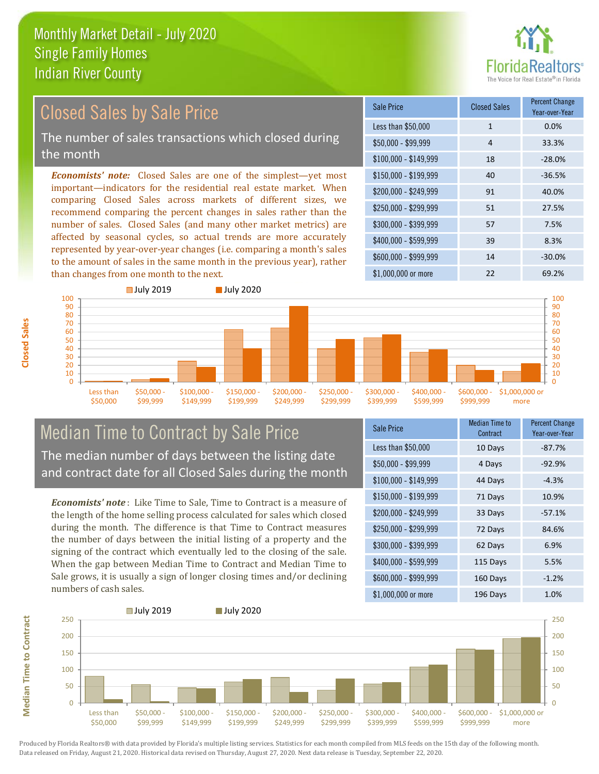

#### *Economists' note:* Closed Sales are one of the simplest—yet most important—indicators for the residential real estate market. When comparing Closed Sales across markets of different sizes, we recommend comparing the percent changes in sales rather than the number of sales. Closed Sales (and many other market metrics) are affected by seasonal cycles, so actual trends are more accurately represented by year-over-year changes (i.e. comparing a month's sales \$250,000 - \$299,999 51 27.5% \$300,000 - \$399,999 57 7.5% \$400,000 - \$599,999 39 8.3% \$600,000 - \$999,999 14 -30.0% \$150,000 - \$199,999 40 -36.5% \$200,000 - \$249,999 91 40.0%  $$100,000 - $149,999$  18 -28.0% Sale Price Closed Sales Percent Change Year-over-Year Less than \$50,000 1 1 0.0% \$50,000 - \$99,999 4 33.3% Closed Sales by Sale Price The number of sales transactions which closed during the month



## Median Time to Contract by Sale Price The median number of days between the listing date and contract date for all Closed Sales during the month

to the amount of sales in the same month in the previous year), rather

*Economists' note* : Like Time to Sale, Time to Contract is a measure of the length of the home selling process calculated for sales which closed during the month. The difference is that Time to Contract measures the number of days between the initial listing of a property and the signing of the contract which eventually led to the closing of the sale. When the gap between Median Time to Contract and Median Time to Sale grows, it is usually a sign of longer closing times and/or declining numbers of cash sales.

| <b>Sale Price</b>     | <b>Median Time to</b><br>Contract | <b>Percent Change</b><br>Year-over-Year |
|-----------------------|-----------------------------------|-----------------------------------------|
| Less than \$50,000    | 10 Days                           | $-87.7%$                                |
| $$50,000 - $99,999$   | 4 Days                            | $-92.9%$                                |
| $$100,000 - $149,999$ | 44 Days                           | $-4.3%$                                 |
| $$150,000 - $199,999$ | 71 Days                           | 10.9%                                   |
| \$200,000 - \$249,999 | 33 Days                           | $-57.1%$                                |
| \$250,000 - \$299,999 | 72 Days                           | 84.6%                                   |
| \$300,000 - \$399,999 | 62 Days                           | 6.9%                                    |
| \$400,000 - \$599,999 | 115 Days                          | 5.5%                                    |
| \$600,000 - \$999,999 | 160 Days                          | $-1.2%$                                 |
| \$1,000,000 or more   | 196 Days                          | 1.0%                                    |

\$1,000,000 or more 22 69.2%



Produced by Florida Realtors® with data provided by Florida's multiple listing services. Statistics for each month compiled from MLS feeds on the 15th day of the following month. Data released on Friday, August 21, 2020. Historical data revised on Thursday, August 27, 2020. Next data release is Tuesday, September 22, 2020.

**Median Time to Contract**

**Median Time to Contract**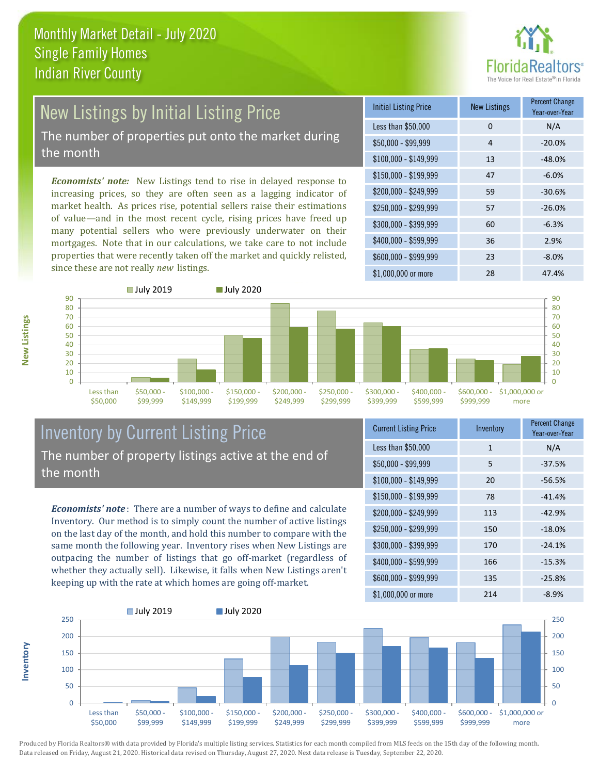

## New Listings by Initial Listing Price The number of properties put onto the market during

the month

*Economists' note:* New Listings tend to rise in delayed response to increasing prices, so they are often seen as a lagging indicator of market health. As prices rise, potential sellers raise their estimations of value—and in the most recent cycle, rising prices have freed up many potential sellers who were previously underwater on their mortgages. Note that in our calculations, we take care to not include properties that were recently taken off the market and quickly relisted, since these are not really *new* listings.

| <b>Initial Listing Price</b> | <b>New Listings</b> | <b>Percent Change</b><br>Year-over-Year |
|------------------------------|---------------------|-----------------------------------------|
| Less than \$50,000           | 0                   | N/A                                     |
| $$50,000 - $99,999$          | 4                   | $-20.0%$                                |
| $$100,000 - $149,999$        | 13                  | $-48.0%$                                |
| $$150,000 - $199,999$        | 47                  | $-6.0%$                                 |
| \$200,000 - \$249,999        | 59                  | $-30.6%$                                |
| \$250,000 - \$299,999        | 57                  | $-26.0%$                                |
| \$300,000 - \$399,999        | 60                  | $-6.3%$                                 |
| \$400,000 - \$599,999        | 36                  | 2.9%                                    |
| \$600,000 - \$999,999        | 23                  | $-8.0%$                                 |
| \$1,000,000 or more          | 28                  | 47.4%                                   |



## Inventory by Current Listing Price The number of property listings active at the end of the month

*Economists' note* : There are a number of ways to define and calculate Inventory. Our method is to simply count the number of active listings on the last day of the month, and hold this number to compare with the same month the following year. Inventory rises when New Listings are outpacing the number of listings that go off-market (regardless of whether they actually sell). Likewise, it falls when New Listings aren't keeping up with the rate at which homes are going off-market.

| <b>Current Listing Price</b> | Inventory    | <b>Percent Change</b><br>Year-over-Year |
|------------------------------|--------------|-----------------------------------------|
| Less than \$50,000           | $\mathbf{1}$ | N/A                                     |
| $$50,000 - $99,999$          | 5            | $-37.5%$                                |
| $$100,000 - $149,999$        | 20           | $-56.5%$                                |
| $$150,000 - $199,999$        | 78           | $-41.4%$                                |
| \$200,000 - \$249,999        | 113          | $-42.9%$                                |
| \$250,000 - \$299,999        | 150          | $-18.0%$                                |
| \$300,000 - \$399,999        | 170          | $-24.1%$                                |
| \$400,000 - \$599,999        | 166          | $-15.3%$                                |
| \$600,000 - \$999,999        | 135          | $-25.8%$                                |
| \$1,000,000 or more          | 214          | $-8.9%$                                 |



Produced by Florida Realtors® with data provided by Florida's multiple listing services. Statistics for each month compiled from MLS feeds on the 15th day of the following month. Data released on Friday, August 21, 2020. Historical data revised on Thursday, August 27, 2020. Next data release is Tuesday, September 22, 2020.

**Inventory**